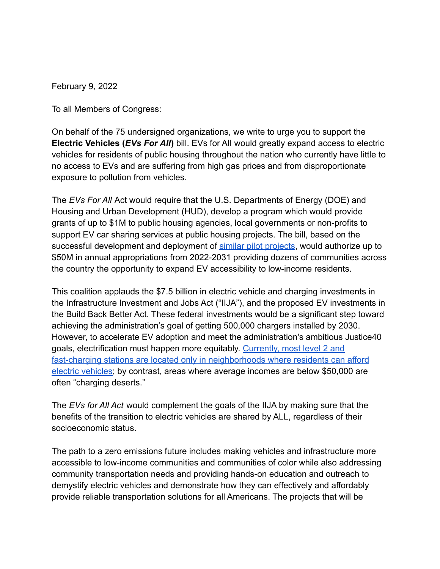February 9, 2022

To all Members of Congress:

On behalf of the 75 undersigned organizations, we write to urge you to support the **Electric Vehicles (***EVs For All***)** bill. EVs for All would greatly expand access to electric vehicles for residents of public housing throughout the nation who currently have little to no access to EVs and are suffering from high gas prices and from disproportionate exposure to pollution from vehicles.

The *EVs For All* Act would require that the U.S. Departments of Energy (DOE) and Housing and Urban Development (HUD), develop a program which would provide grants of up to \$1M to public housing agencies, local governments or non-profits to support EV car sharing services at public housing projects. The bill, based on the successful development and deployment of [similar pilot](https://laincubator.org/mobility-pilots/) projects, would authorize up to \$50M in annual appropriations from 2022-2031 providing dozens of communities across the country the opportunity to expand EV accessibility to low-income residents.

This coalition applauds the \$7.5 billion in electric vehicle and charging investments in the Infrastructure Investment and Jobs Act ("IIJA"), and the proposed EV investments in the Build Back Better Act. These federal investments would be a significant step toward achieving the administration's goal of getting 500,000 chargers installed by 2030. However, to accelerate EV adoption and meet the administration's ambitious Justice40 goals, electrification must happen more equitably. [Currently, most level 2 and](https://www.washingtonpost.com/business/2021/12/09/charging-deserts-evs/) [fast-charging stations are located only in neighborhoods where residents can afford](https://www.washingtonpost.com/business/2021/12/09/charging-deserts-evs/) [electric vehicles;](https://www.washingtonpost.com/business/2021/12/09/charging-deserts-evs/) by contrast, areas where average incomes are below \$50,000 are often "charging deserts."

The *EVs for All Act* would complement the goals of the IIJA by making sure that the benefits of the transition to electric vehicles are shared by ALL, regardless of their socioeconomic status.

The path to a zero emissions future includes making vehicles and infrastructure more accessible to low-income communities and communities of color while also addressing community transportation needs and providing hands-on education and outreach to demystify electric vehicles and demonstrate how they can effectively and affordably provide reliable transportation solutions for all Americans. The projects that will be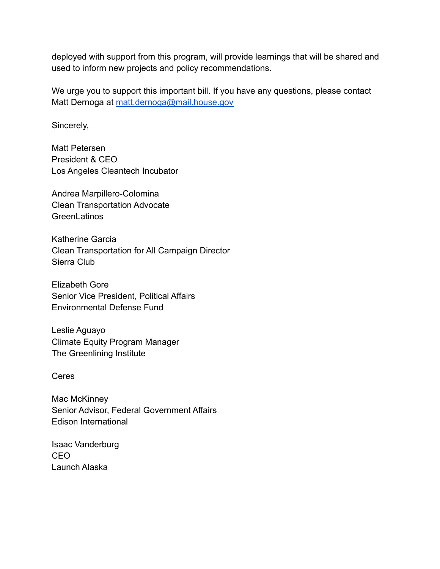deployed with support from this program, will provide learnings that will be shared and used to inform new projects and policy recommendations.

We urge you to support this important bill. If you have any questions, please contact Matt Dernoga at [matt.dernoga@mail.house.gov](mailto:matt.dernoga@mail.house.gov)

Sincerely,

Matt Petersen President & CEO Los Angeles Cleantech Incubator

Andrea Marpillero-Colomina Clean Transportation Advocate GreenLatinos

Katherine Garcia Clean Transportation for All Campaign Director Sierra Club

Elizabeth Gore Senior Vice President, Political Affairs Environmental Defense Fund

Leslie Aguayo Climate Equity Program Manager The Greenlining Institute

Ceres

Mac McKinney Senior Advisor, Federal Government Affairs Edison International

Isaac Vanderburg CEO Launch Alaska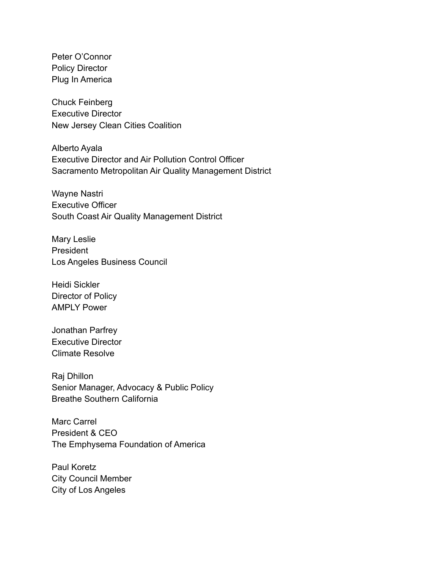Peter O'Connor Policy Director Plug In America

Chuck Feinberg Executive Director New Jersey Clean Cities Coalition

Alberto Ayala Executive Director and Air Pollution Control Officer Sacramento Metropolitan Air Quality Management District

Wayne Nastri Executive Officer South Coast Air Quality Management District

Mary Leslie President Los Angeles Business Council

Heidi Sickler Director of Policy AMPLY Power

Jonathan Parfrey Executive Director Climate Resolve

Raj Dhillon Senior Manager, Advocacy & Public Policy Breathe Southern California

Marc Carrel President & CEO The Emphysema Foundation of America

Paul Koretz City Council Member City of Los Angeles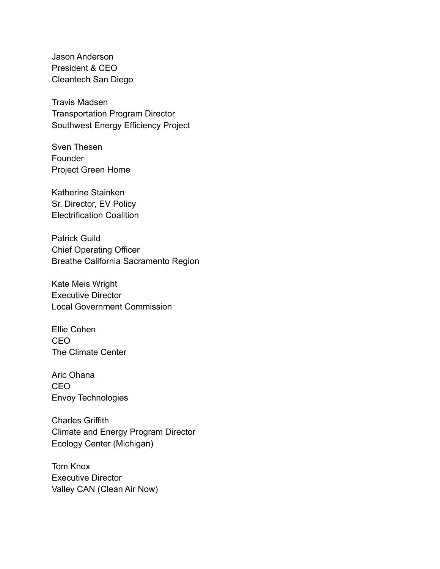Jason Anderson President & CEO Cleantech San Diego

Travis Madsen Transportation Program Director Southwest Energy Efficiency Project

Sven Thesen **Founder** Project Green Home

Katherine Stainken Sr. Director, EV Policy Electrification Coalition

Patrick Guild Chief Operating Officer Breathe California Sacramento Region

Kate Meis Wright Executive Director Local Government Commission

Ellie Cohen CEO The Climate Center

Aric Ohana CEO Envoy Technologies

Charles Griffith Climate and Energy Program Director Ecology Center (Michigan)

Tom Knox Executive Director Valley CAN (Clean Air Now)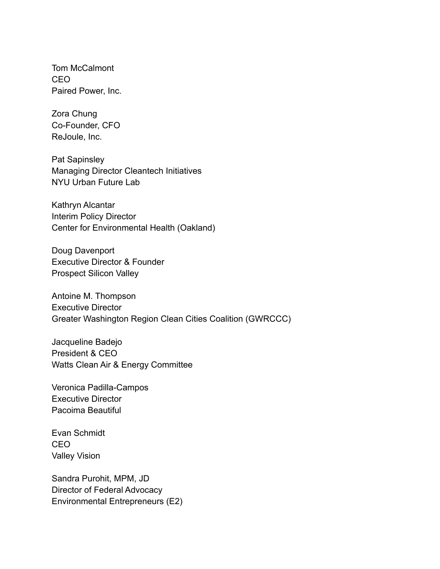Tom McCalmont CEO Paired Power, Inc.

Zora Chung Co-Founder, CFO ReJoule, Inc.

Pat Sapinsley Managing Director Cleantech Initiatives NYU Urban Future Lab

Kathryn Alcantar Interim Policy Director Center for Environmental Health (Oakland)

Doug Davenport Executive Director & Founder Prospect Silicon Valley

Antoine M. Thompson Executive Director Greater Washington Region Clean Cities Coalition (GWRCCC)

Jacqueline Badejo President & CEO Watts Clean Air & Energy Committee

Veronica Padilla-Campos Executive Director Pacoima Beautiful

Evan Schmidt CEO Valley Vision

Sandra Purohit, MPM, JD Director of Federal Advocacy Environmental Entrepreneurs (E2)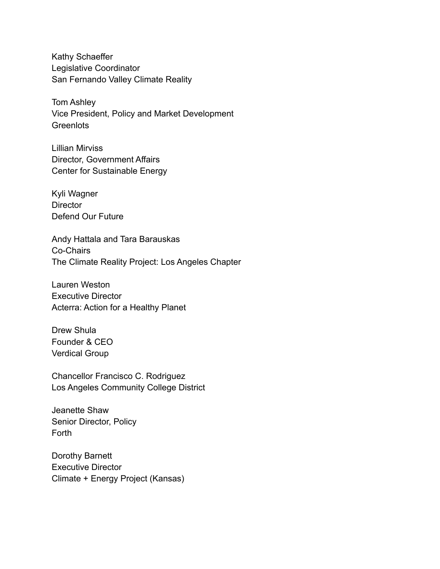Kathy Schaeffer Legislative Coordinator San Fernando Valley Climate Reality

Tom Ashley Vice President, Policy and Market Development **Greenlots** 

Lillian Mirviss Director, Government Affairs Center for Sustainable Energy

Kyli Wagner **Director** Defend Our Future

Andy Hattala and Tara Barauskas Co-Chairs The Climate Reality Project: Los Angeles Chapter

Lauren Weston Executive Director Acterra: Action for a Healthy Planet

Drew Shula Founder & CEO Verdical Group

Chancellor Francisco C. Rodriguez Los Angeles Community College District

Jeanette Shaw Senior Director, Policy Forth

Dorothy Barnett Executive Director Climate + Energy Project (Kansas)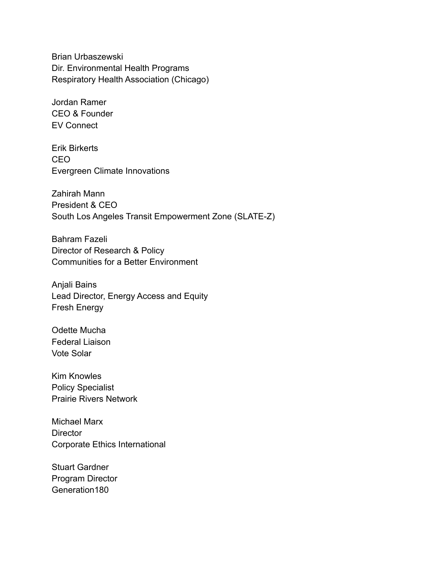Brian Urbaszewski Dir. Environmental Health Programs Respiratory Health Association (Chicago)

Jordan Ramer CEO & Founder EV Connect

Erik Birkerts CEO Evergreen Climate Innovations

Zahirah Mann President & CEO South Los Angeles Transit Empowerment Zone (SLATE-Z)

Bahram Fazeli Director of Research & Policy Communities for a Better Environment

Anjali Bains Lead Director, Energy Access and Equity Fresh Energy

Odette Mucha Federal Liaison Vote Solar

Kim Knowles Policy Specialist Prairie Rivers Network

Michael Marx **Director** Corporate Ethics International

Stuart Gardner Program Director Generation180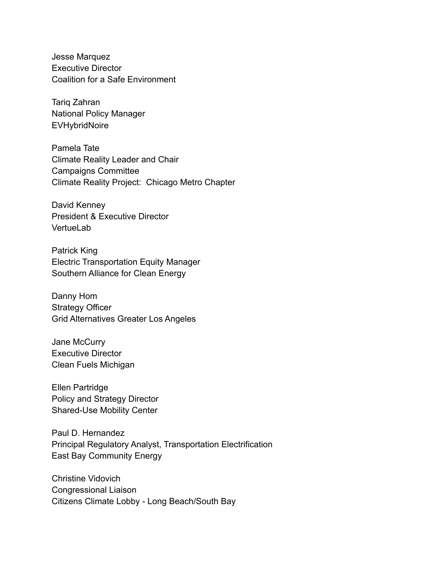Jesse Marquez Executive Director Coalition for a Safe Environment

Tariq Zahran National Policy Manager **EVHybridNoire** 

Pamela Tate Climate Reality Leader and Chair Campaigns Committee Climate Reality Project: Chicago Metro Chapter

David Kenney President & Executive Director Vertuel ab

Patrick King Electric Transportation Equity Manager Southern Alliance for Clean Energy

Danny Hom Strategy Officer Grid Alternatives Greater Los Angeles

Jane McCurry Executive Director Clean Fuels Michigan

Ellen Partridge Policy and Strategy Director Shared-Use Mobility Center

Paul D. Hernandez Principal Regulatory Analyst, Transportation Electrification East Bay Community Energy

Christine Vidovich Congressional Liaison Citizens Climate Lobby - Long Beach/South Bay